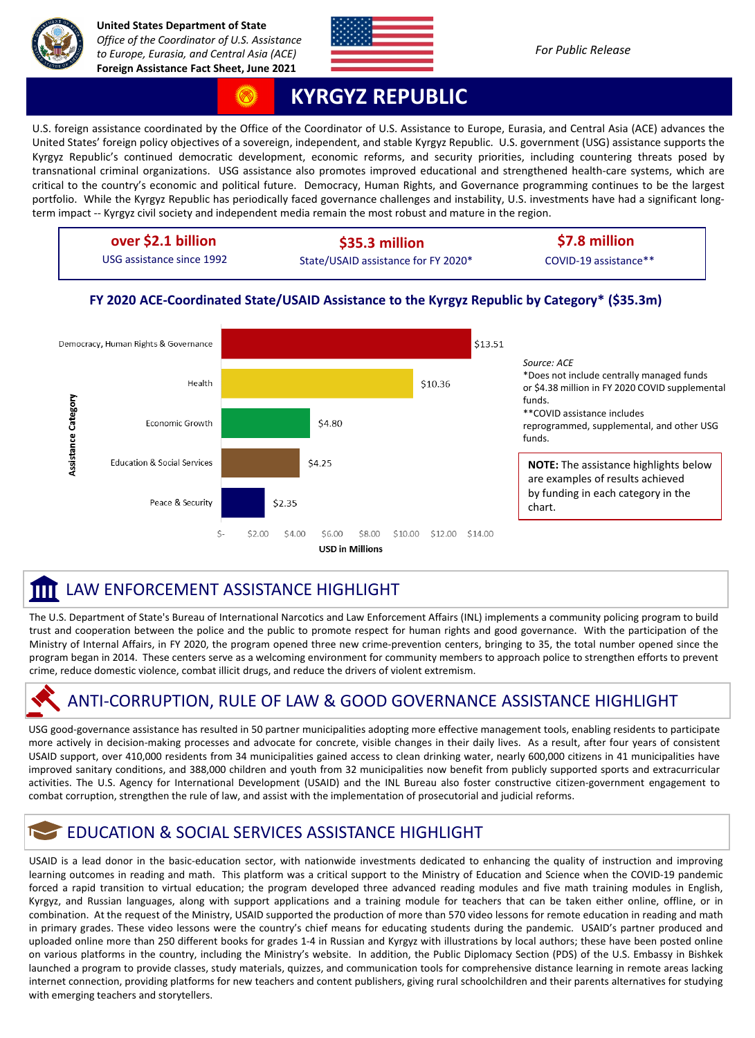



## **KYRGYZ REPUBLIC**

U.S. foreign assistance coordinated by the Office of the Coordinator of U.S. Assistance to Europe, Eurasia, and Central Asia (ACE) advances the United States' foreign policy objectives of a sovereign, independent, and stable Kyrgyz Republic. U.S. government (USG) assistance supports the Kyrgyz Republic's continued democratic development, economic reforms, and security priorities, including countering threats posed by transnational criminal organizations. USG assistance also promotes improved educational and strengthened health-care systems, which are critical to the country's economic and political future. Democracy, Human Rights, and Governance programming continues to be the largest portfolio. While the Kyrgyz Republic has periodically faced governance challenges and instability, U.S. investments have had a significant longterm impact -- Kyrgyz civil society and independent media remain the most robust and mature in the region.

| over \$2.1 billion        | \$35.3 million                      | \$7.8 million         |
|---------------------------|-------------------------------------|-----------------------|
| USG assistance since 1992 | State/USAID assistance for FY 2020* | COVID-19 assistance** |

#### **FY 2020 ACE-Coordinated State/USAID Assistance to the Kyrgyz Republic by Category\* (\$35.3m)**



#### LAW ENFORCEMENT ASSISTANCE HIGHLIGHT Ш

The U.S. Department of State's Bureau of International Narcotics and Law Enforcement Affairs (INL) implements a community policing program to build trust and cooperation between the police and the public to promote respect for human rights and good governance. With the participation of the Ministry of Internal Affairs, in FY 2020, the program opened three new crime-prevention centers, bringing to 35, the total number opened since the program began in 2014. These centers serve as a welcoming environment for community members to approach police to strengthen efforts to prevent crime, reduce domestic violence, combat illicit drugs, and reduce the drivers of violent extremism.

## ANTI-CORRUPTION, RULE OF LAW & GOOD GOVERNANCE ASSISTANCE HIGHLIGHT

USG good-governance assistance has resulted in 50 partner municipalities adopting more effective management tools, enabling residents to participate more actively in decision-making processes and advocate for concrete, visible changes in their daily lives. As a result, after four years of consistent USAID support, over 410,000 residents from 34 municipalities gained access to clean drinking water, nearly 600,000 citizens in 41 municipalities have improved sanitary conditions, and 388,000 children and youth from 32 municipalities now benefit from publicly supported sports and extracurricular activities. The U.S. Agency for International Development (USAID) and the INL Bureau also foster constructive citizen-government engagement to combat corruption, strengthen the rule of law, and assist with the implementation of prosecutorial and judicial reforms.

## **EDUCATION & SOCIAL SERVICES ASSISTANCE HIGHLIGHT**

USAID is a lead donor in the basic-education sector, with nationwide investments dedicated to enhancing the quality of instruction and improving learning outcomes in reading and math. This platform was a critical support to the Ministry of Education and Science when the COVID-19 pandemic forced a rapid transition to virtual education; the program developed three advanced reading modules and five math training modules in English, Kyrgyz, and Russian languages, along with support applications and a training module for teachers that can be taken either online, offline, or in combination. At the request of the Ministry, USAID supported the production of more than 570 video lessons for remote education in reading and math in primary grades. These video lessons were the country's chief means for educating students during the pandemic. USAID's partner produced and uploaded online more than 250 different books for grades 1-4 in Russian and Kyrgyz with illustrations by local authors; these have been posted online on various platforms in the country, including the Ministry's website. In addition, the Public Diplomacy Section (PDS) of the U.S. Embassy in Bishkek launched a program to provide classes, study materials, quizzes, and communication tools for comprehensive distance learning in remote areas lacking internet connection, providing platforms for new teachers and content publishers, giving rural schoolchildren and their parents alternatives for studying with emerging teachers and storytellers.